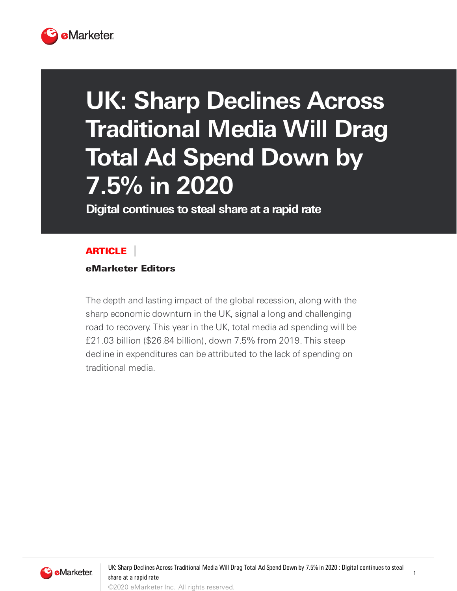

## **UK: Sharp Declines Across Traditional Media Will Drag Total Ad Spend Down by 7.5% in 2020**

**Digital continues to steal share at a rapid rate**

## **ARTICLE**

eMarketer Editors

The depth and lasting impact of the global recession, along with the sharp economic downturn in the UK, signal a long and challenging road to recovery. This year in the UK, total media ad spending will be £21.03 billion (\$26.84 billion), down 7.5% from 2019. This steep decline in expenditures can be attributed to the lack of spending on traditional media.

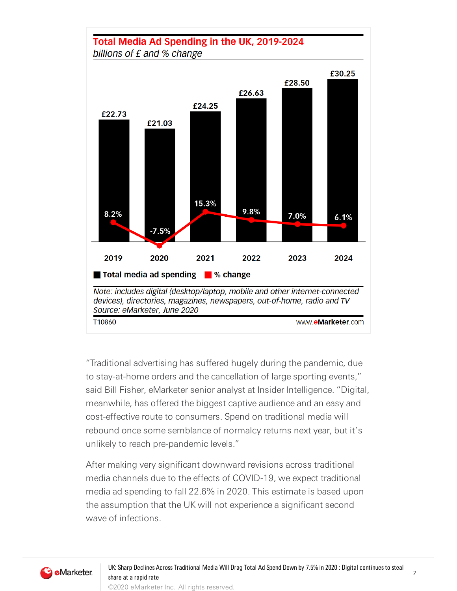## Total Media Ad Spending in the UK, 2019-2024 billions of £ and % change



"Traditional advertising has suffered hugely during the pandemic, due to stay-at-home orders and the cancellation of large sporting events," said Bill Fisher, eMarketer senior analyst at Insider Intelligence. "Digital, meanwhile, has offered the biggest captive audience and an easy and cost-effective route to consumers. Spend on traditional media will rebound once some semblance of normalcy returns next year, but it's unlikely to reach pre-pandemic levels."

After making very significant downward revisions across traditional media channels due to the effects of COVID-19, we expect traditional media ad spending to fall 22.6% in 2020. This estimate is based upon the assumption that the UK will not experience a significant second wave of infections.

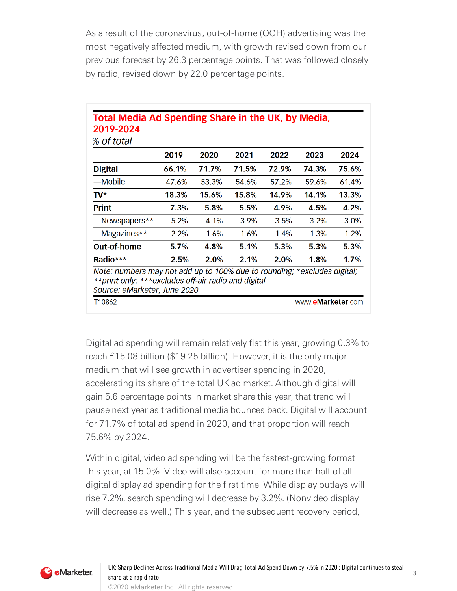As a result of the coronavirus, out-of-home (OOH) advertising was the most negatively affected medium, with growth revised down from our previous forecast by 26.3 percentage points. That was followed closely by radio, revised down by 22.0 percentage points.

|                    | 2019  | 2020    | 2021  | 2022    | 2023    | 2024  |
|--------------------|-------|---------|-------|---------|---------|-------|
| <b>Digital</b>     | 66.1% | 71.7%   | 71.5% | 72.9%   | 74.3%   | 75.6% |
| —Mobile            | 47.6% | 53.3%   | 54.6% | 57.2%   | 59.6%   | 61.4% |
| TV*                | 18.3% | 15.6%   | 15.8% | 14.9%   | 14.1%   | 13.3% |
| <b>Print</b>       | 7.3%  | 5.8%    | 5.5%  | 4.9%    | 4.5%    | 4.2%  |
| -Newspapers**      | 5.2%  | 4.1%    | 3.9%  | 3.5%    | 3.2%    | 3.0%  |
| —Magazines**       | 2.2%  | $1.6\%$ | 1.6%  | $1.4\%$ | $1.3\%$ | 1.2%  |
| <b>Out-of-home</b> | 5.7%  | 4.8%    | 5.1%  | 5.3%    | 5.3%    | 5.3%  |
|                    |       |         |       |         |         |       |

Digital ad spending will remain relatively flat this year, growing 0.3% to reach £15.08 billion (\$19.25 billion). However, it is the only major medium that will see growth in advertiser spending in 2020, accelerating its share of the total UK ad market. Although digital will gain 5.6 percentage points in market share this year, that trend will pause next year as traditional media bounces back. Digital will account for 71.7% of total ad spend in 2020, and that proportion will reach 75.6% by 2024.

Within digital, video ad spending will be the fastest-growing format this year, at 15.0%. Video will also account for more than half of all digital display ad spending for the first time. While display outlays will rise 7.2%, search spending will decrease by 3.2%. (Nonvideo display will decrease as well.) This year, and the subsequent recovery period,